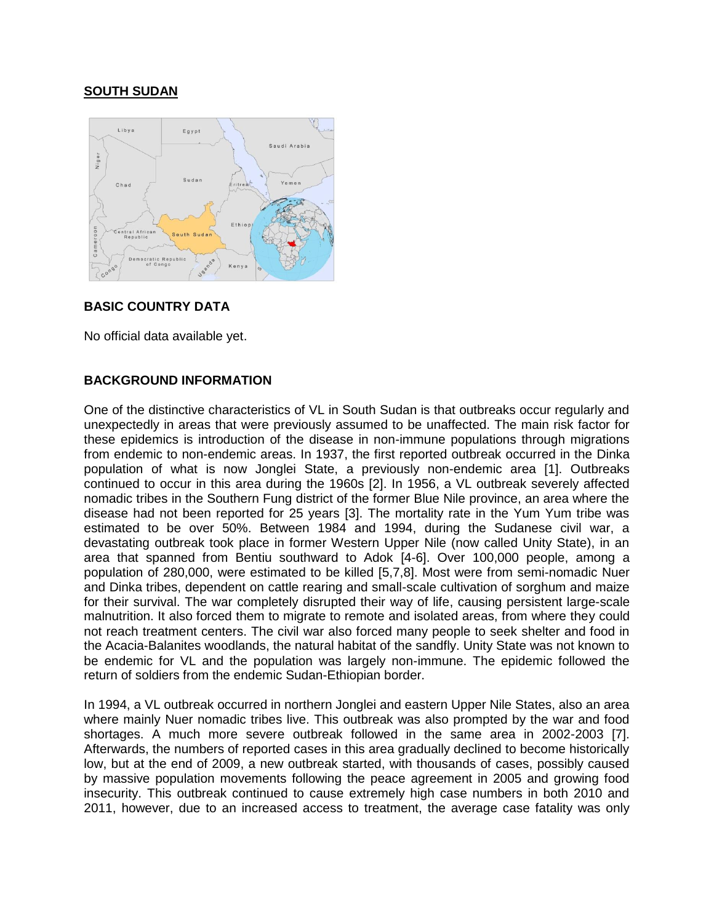# **SOUTH SUDAN**



### **BASIC COUNTRY DATA**

No official data available yet.

## **BACKGROUND INFORMATION**

One of the distinctive characteristics of VL in South Sudan is that outbreaks occur regularly and unexpectedly in areas that were previously assumed to be unaffected. The main risk factor for these epidemics is introduction of the disease in non-immune populations through migrations from endemic to non-endemic areas. In 1937, the first reported outbreak occurred in the Dinka population of what is now Jonglei State, a previously non-endemic area [1]. Outbreaks continued to occur in this area during the 1960s [2]. In 1956, a VL outbreak severely affected nomadic tribes in the Southern Fung district of the former Blue Nile province, an area where the disease had not been reported for 25 years [3]. The mortality rate in the Yum Yum tribe was estimated to be over 50%. Between 1984 and 1994, during the Sudanese civil war, a devastating outbreak took place in former Western Upper Nile (now called Unity State), in an area that spanned from Bentiu southward to Adok [4-6]. Over 100,000 people, among a population of 280,000, were estimated to be killed [5,7,8]. Most were from semi-nomadic Nuer and Dinka tribes, dependent on cattle rearing and small-scale cultivation of sorghum and maize for their survival. The war completely disrupted their way of life, causing persistent large-scale malnutrition. It also forced them to migrate to remote and isolated areas, from where they could not reach treatment centers. The civil war also forced many people to seek shelter and food in the Acacia-Balanites woodlands, the natural habitat of the sandfly. Unity State was not known to be endemic for VL and the population was largely non-immune. The epidemic followed the return of soldiers from the endemic Sudan-Ethiopian border.

In 1994, a VL outbreak occurred in northern Jonglei and eastern Upper Nile States, also an area where mainly Nuer nomadic tribes live. This outbreak was also prompted by the war and food shortages. A much more severe outbreak followed in the same area in 2002-2003 [7]. Afterwards, the numbers of reported cases in this area gradually declined to become historically low, but at the end of 2009, a new outbreak started, with thousands of cases, possibly caused by massive population movements following the peace agreement in 2005 and growing food insecurity. This outbreak continued to cause extremely high case numbers in both 2010 and 2011, however, due to an increased access to treatment, the average case fatality was only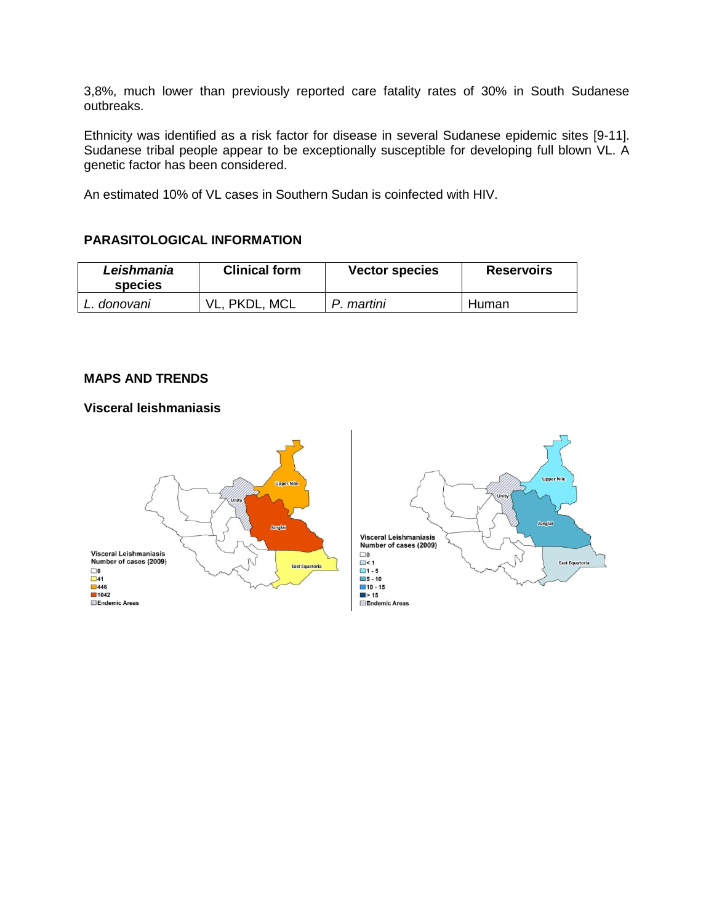3,8%, much lower than previously reported care fatality rates of 30% in South Sudanese outbreaks.

Ethnicity was identified as a risk factor for disease in several Sudanese epidemic sites [9-11]. Sudanese tribal people appear to be exceptionally susceptible for developing full blown VL. A genetic factor has been considered.

An estimated 10% of VL cases in Southern Sudan is coinfected with HIV.

## **PARASITOLOGICAL INFORMATION**

| Leishmania<br><b>species</b> | <b>Clinical form</b> | <b>Vector species</b> | <b>Reservoirs</b> |
|------------------------------|----------------------|-----------------------|-------------------|
| L. donovani                  | MCL<br>PKDL.         | . martini             | Human             |

#### **MAPS AND TRENDS**

#### **Visceral leishmaniasis**



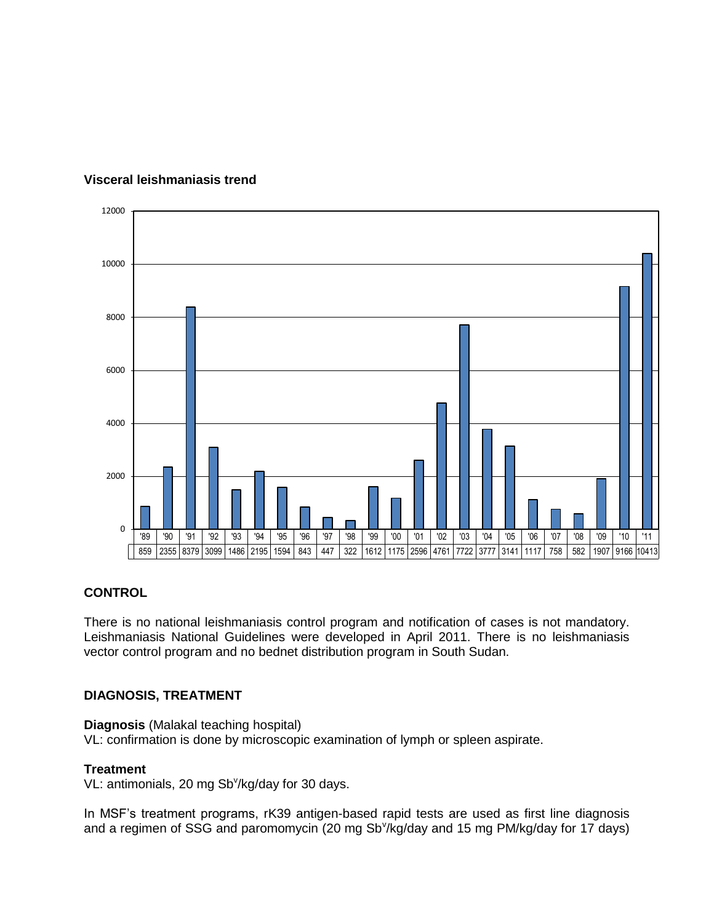

# **Visceral leishmaniasis trend**

### **CONTROL**

There is no national leishmaniasis control program and notification of cases is not mandatory. Leishmaniasis National Guidelines were developed in April 2011. There is no leishmaniasis vector control program and no bednet distribution program in South Sudan.

### **DIAGNOSIS, TREATMENT**

**Diagnosis** (Malakal teaching hospital) VL: confirmation is done by microscopic examination of lymph or spleen aspirate.

### **Treatment**

VL: antimonials, 20 mg Sb<sup>v</sup>/kg/day for 30 days.

In MSF's treatment programs, rK39 antigen-based rapid tests are used as first line diagnosis and a regimen of SSG and paromomycin (20 mg Sb<sup>v</sup>/kg/day and 15 mg PM/kg/day for 17 days)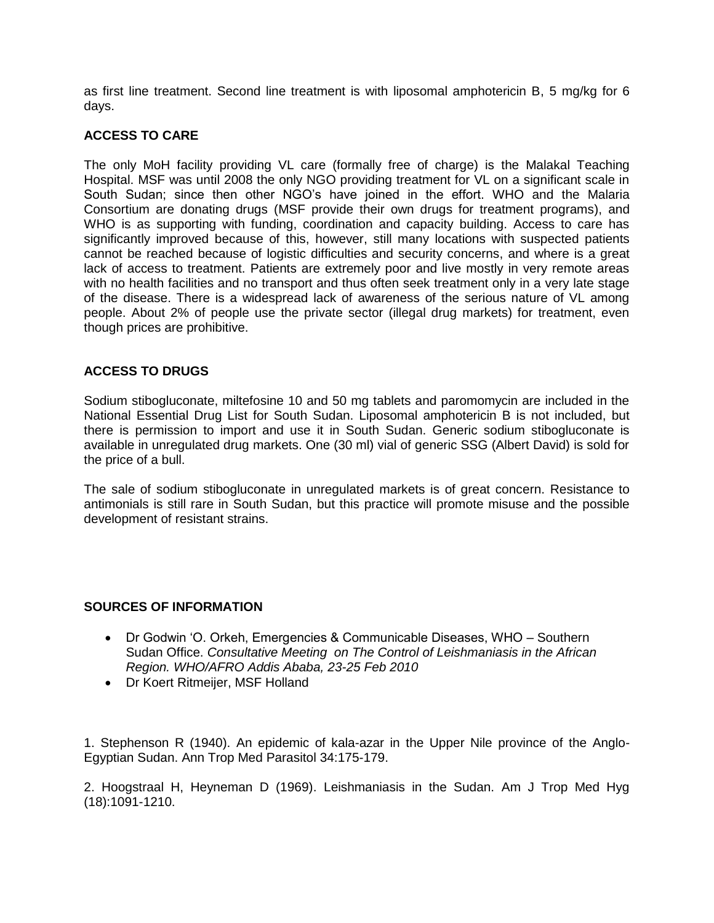as first line treatment. Second line treatment is with liposomal amphotericin B, 5 mg/kg for 6 days.

### **ACCESS TO CARE**

The only MoH facility providing VL care (formally free of charge) is the Malakal Teaching Hospital. MSF was until 2008 the only NGO providing treatment for VL on a significant scale in South Sudan; since then other NGO's have joined in the effort. WHO and the Malaria Consortium are donating drugs (MSF provide their own drugs for treatment programs), and WHO is as supporting with funding, coordination and capacity building. Access to care has significantly improved because of this, however, still many locations with suspected patients cannot be reached because of logistic difficulties and security concerns, and where is a great lack of access to treatment. Patients are extremely poor and live mostly in very remote areas with no health facilities and no transport and thus often seek treatment only in a very late stage of the disease. There is a widespread lack of awareness of the serious nature of VL among people. About 2% of people use the private sector (illegal drug markets) for treatment, even though prices are prohibitive.

## **ACCESS TO DRUGS**

Sodium stibogluconate, miltefosine 10 and 50 mg tablets and paromomycin are included in the National Essential Drug List for South Sudan. Liposomal amphotericin B is not included, but there is permission to import and use it in South Sudan. Generic sodium stibogluconate is available in unregulated drug markets. One (30 ml) vial of generic SSG (Albert David) is sold for the price of a bull.

The sale of sodium stibogluconate in unregulated markets is of great concern. Resistance to antimonials is still rare in South Sudan, but this practice will promote misuse and the possible development of resistant strains.

### **SOURCES OF INFORMATION**

- Dr Godwin 'O. Orkeh, Emergencies & Communicable Diseases, WHO Southern Sudan Office. *Consultative Meeting on The Control of Leishmaniasis in the African Region. WHO/AFRO Addis Ababa, 23-25 Feb 2010*
- Dr Koert Ritmeijer, MSF Holland

1. Stephenson R (1940). An epidemic of kala-azar in the Upper Nile province of the Anglo-Egyptian Sudan. Ann Trop Med Parasitol 34:175-179.

2. Hoogstraal H, Heyneman D (1969). Leishmaniasis in the Sudan. Am J Trop Med Hyg (18):1091-1210.